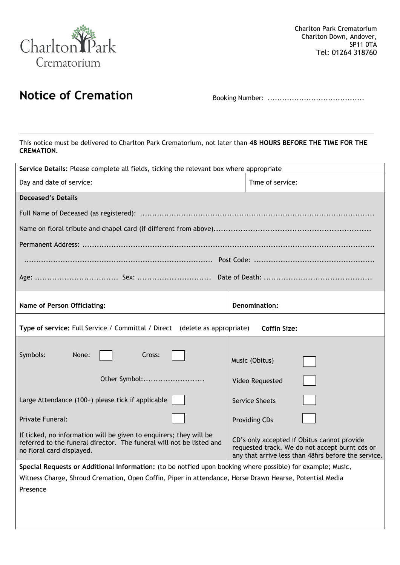

# **Notice of Cremation** Booking Number: ........................................

This notice must be delivered to Charlton Park Crematorium, not later than **48 HOURS BEFORE THE TIME FOR THE CREMATION.**

| Service Details: Please complete all fields, ticking the relevant box where appropriate                                                                                 |                                                                                                                                                      |  |
|-------------------------------------------------------------------------------------------------------------------------------------------------------------------------|------------------------------------------------------------------------------------------------------------------------------------------------------|--|
| Day and date of service:                                                                                                                                                | Time of service:                                                                                                                                     |  |
| <b>Deceased's Details</b>                                                                                                                                               |                                                                                                                                                      |  |
|                                                                                                                                                                         |                                                                                                                                                      |  |
|                                                                                                                                                                         |                                                                                                                                                      |  |
|                                                                                                                                                                         |                                                                                                                                                      |  |
|                                                                                                                                                                         |                                                                                                                                                      |  |
|                                                                                                                                                                         |                                                                                                                                                      |  |
| Name of Person Officiating:                                                                                                                                             | <b>Denomination:</b>                                                                                                                                 |  |
| Type of service: Full Service / Committal / Direct (delete as appropriate)<br><b>Coffin Size:</b>                                                                       |                                                                                                                                                      |  |
| Symbols:<br>None:<br>Cross:                                                                                                                                             | Music (Obitus)                                                                                                                                       |  |
| Other Symbol:                                                                                                                                                           | Video Requested                                                                                                                                      |  |
| Large Attendance (100+) please tick if applicable                                                                                                                       | <b>Service Sheets</b>                                                                                                                                |  |
| Private Funeral:                                                                                                                                                        | <b>Providing CDs</b>                                                                                                                                 |  |
| If ticked, no information will be given to enquirers; they will be<br>referred to the funeral director. The funeral will not be listed and<br>no floral card displayed. | CD's only accepted if Obitus cannot provide<br>requested track. We do not accept burnt cds or<br>any that arrive less than 48hrs before the service. |  |
| Special Requests or Additional Information: (to be notfied upon booking where possible) for example; Music,                                                             |                                                                                                                                                      |  |
| Witness Charge, Shroud Cremation, Open Coffin, Piper in attendance, Horse Drawn Hearse, Potential Media                                                                 |                                                                                                                                                      |  |
| Presence                                                                                                                                                                |                                                                                                                                                      |  |
|                                                                                                                                                                         |                                                                                                                                                      |  |
|                                                                                                                                                                         |                                                                                                                                                      |  |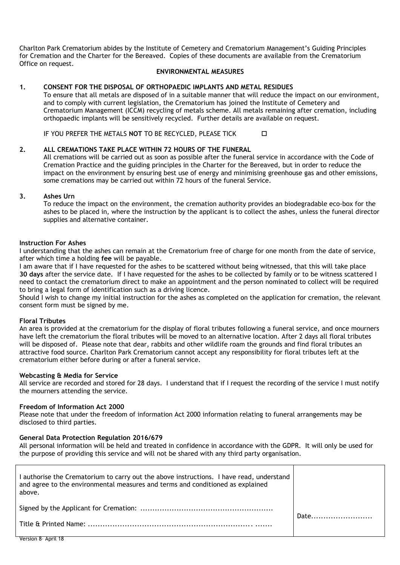Charlton Park Crematorium abides by the Institute of Cemetery and Crematorium Management's Guiding Principles for Cremation and the Charter for the Bereaved. Copies of these documents are available from the Crematorium Office on request.

### **ENVIRONMENTAL MEASURES**

## **1. CONSENT FOR THE DISPOSAL OF ORTHOPAEDIC IMPLANTS AND METAL RESIDUES**

To ensure that all metals are disposed of in a suitable manner that will reduce the impact on our environment, and to comply with current legislation, the Crematorium has joined the Institute of Cemetery and Crematorium Management (ICCM) recycling of metals scheme. All metals remaining after cremation, including orthopaedic implants will be sensitively recycled. Further details are available on request.

IF YOU PREFER THE METALS **NOT** TO BE RECYCLED, PLEASE TICK

#### **2. ALL CREMATIONS TAKE PLACE WITHIN 72 HOURS OF THE FUNERAL**

All cremations will be carried out as soon as possible after the funeral service in accordance with the Code of Cremation Practice and the guiding principles in the Charter for the Bereaved, but in order to reduce the impact on the environment by ensuring best use of energy and minimising greenhouse gas and other emissions, some cremations may be carried out within 72 hours of the funeral Service.

#### **3. Ashes Urn**

To reduce the impact on the environment, the cremation authority provides an biodegradable eco-box for the ashes to be placed in, where the instruction by the applicant is to collect the ashes, unless the funeral director supplies and alternative container.

#### **Instruction For Ashes**

I understanding that the ashes can remain at the Crematorium free of charge for one month from the date of service, after which time a holding **fee** will be payable.

I am aware that if I have requested for the ashes to be scattered without being witnessed, that this will take place **30 days** after the service date. If I have requested for the ashes to be collected by family or to be witness scattered I need to contact the crematorium direct to make an appointment and the person nominated to collect will be required to bring a legal form of identification such as a driving licence.

Should I wish to change my initial instruction for the ashes as completed on the application for cremation, the relevant consent form must be signed by me.

#### **Floral Tributes**

An area is provided at the crematorium for the display of floral tributes following a funeral service, and once mourners have left the crematorium the floral tributes will be moved to an alternative location. After 2 days all floral tributes will be disposed of. Please note that dear, rabbits and other wildlife roam the grounds and find floral tributes an attractive food source. Charlton Park Crematorium cannot accept any responsibility for floral tributes left at the crematorium either before during or after a funeral service.

#### **Webcasting & Media for Service**

All service are recorded and stored for 28 days. I understand that if I request the recording of the service I must notify the mourners attending the service.

#### **Freedom of Information Act 2000**

Please note that under the freedom of information Act 2000 information relating to funeral arrangements may be disclosed to third parties.

## **General Data Protection Regulation 2016/679**

All personal information will be held and treated in confidence in accordance with the GDPR. It will only be used for the purpose of providing this service and will not be shared with any third party organisation.

| I authorise the Crematorium to carry out the above instructions. I have read, understand<br>and agree to the environmental measures and terms and conditioned as explained<br>above. |      |  |
|--------------------------------------------------------------------------------------------------------------------------------------------------------------------------------------|------|--|
|                                                                                                                                                                                      | Date |  |
|                                                                                                                                                                                      |      |  |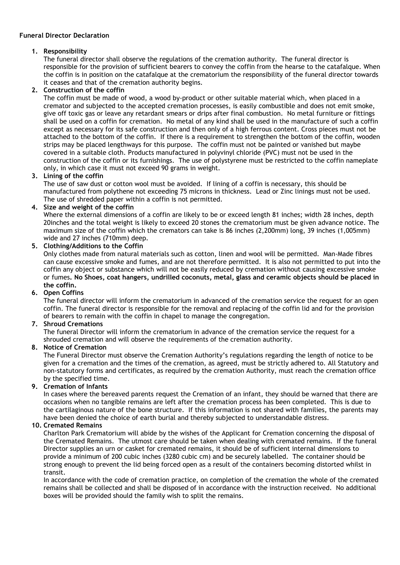# **Funeral Director Declaration**

# **1. Responsibility**

The funeral director shall observe the regulations of the cremation authority. The funeral director is responsible for the provision of sufficient bearers to convey the coffin from the hearse to the catafalque. When the coffin is in position on the catafalque at the crematorium the responsibility of the funeral director towards it ceases and that of the cremation authority begins.

# **2. Construction of the coffin**

The coffin must be made of wood, a wood by-product or other suitable material which, when placed in a cremator and subjected to the accepted cremation processes, is easily combustible and does not emit smoke, give off toxic gas or leave any retardant smears or drips after final combustion. No metal furniture or fittings shall be used on a coffin for cremation. No metal of any kind shall be used in the manufacture of such a coffin except as necessary for its safe construction and then only of a high ferrous content. Cross pieces must not be attached to the bottom of the coffin. If there is a requirement to strengthen the bottom of the coffin, wooden strips may be placed lengthways for this purpose. The coffin must not be painted or vanished but maybe covered in a suitable cloth. Products manufactured in polyvinyl chloride (PVC) must not be used in the construction of the coffin or its furnishings. The use of polystyrene must be restricted to the coffin nameplate only, in which case it must not exceed 90 grams in weight.

# **3. Lining of the coffin**

The use of saw dust or cotton wool must be avoided. If lining of a coffin is necessary, this should be manufactured from polythene not exceeding 75 microns in thickness. Lead or Zinc linings must not be used. The use of shredded paper within a coffin is not permitted.

# **4. Size and weight of the coffin**

Where the external dimensions of a coffin are likely to be or exceed length 81 inches; width 28 inches, depth 20inches and the total weight is likely to exceed 20 stones the crematorium must be given advance notice. The maximum size of the coffin which the cremators can take is 86 inches (2,200mm) long, 39 inches (1,005mm) wide and 27 inches (710mm) deep.

# **5. Clothing/Additions to the Coffin**

Only clothes made from natural materials such as cotton, linen and wool will be permitted. Man-Made fibres can cause excessive smoke and fumes, and are not therefore permitted. It is also not permitted to put into the coffin any object or substance which will not be easily reduced by cremation without causing excessive smoke or fumes**. No Shoes, coat hangers, undrilled coconuts, metal, glass and ceramic objects should be placed in the coffin.**

# **6. Open Coffins**

The funeral director will inform the crematorium in advanced of the cremation service the request for an open coffin. The funeral director is responsible for the removal and replacing of the coffin lid and for the provision of bearers to remain with the coffin in chapel to manage the congregation.

## **7. Shroud Cremations**

The funeral Director will inform the crematorium in advance of the cremation service the request for a shrouded cremation and will observe the requirements of the cremation authority.

## **8. Notice of Cremation**

The Funeral Director must observe the Cremation Authority's regulations regarding the length of notice to be given for a cremation and the times of the cremation, as agreed, must be strictly adhered to. All Statutory and non-statutory forms and certificates, as required by the cremation Authority, must reach the cremation office by the specified time.

# **9. Cremation of Infants**

In cases where the bereaved parents request the Cremation of an infant, they should be warned that there are occasions when no tangible remains are left after the cremation process has been completed. This is due to the cartilaginous nature of the bone structure. If this information is not shared with families, the parents may have been denied the choice of earth burial and thereby subjected to understandable distress.

## **10. Cremated Remains**

Charlton Park Crematorium will abide by the wishes of the Applicant for Cremation concerning the disposal of the Cremated Remains. The utmost care should be taken when dealing with cremated remains. If the funeral Director supplies an urn or casket for cremated remains, it should be of sufficient internal dimensions to provide a minimum of 200 cubic inches (3280 cubic cm) and be securely labelled. The container should be strong enough to prevent the lid being forced open as a result of the containers becoming distorted whilst in transit.

In accordance with the code of cremation practice, on completion of the cremation the whole of the cremated remains shall be collected and shall be disposed of in accordance with the instruction received. No additional boxes will be provided should the family wish to split the remains.